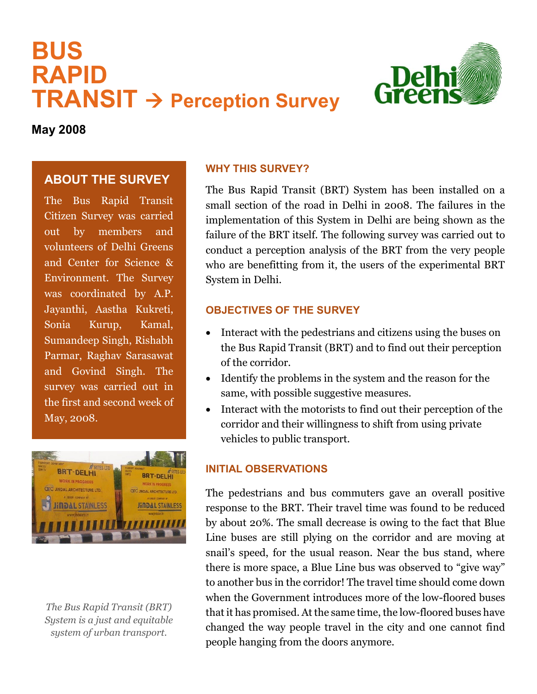# **BUS RAPID TRANSIT Perception Survey**



**May 2008**

## **ABOUT THE SURVEY**

The Bus Rapid Transit Citizen Survey was carried out by members and volunteers of Delhi Greens and Center for Science & Environment. The Survey was coordinated by A.P. Jayanthi, Aastha Kukreti, Sonia Kurup, Kamal, Sumandeep Singh, Rishabh Parmar, Raghav Sarasawat and Govind Singh. The survey was carried out in the first and second week of May, 2008.



*The Bus Rapid Transit (BRT) System is a just and equitable system of urban transport.*

#### **WHY THIS SURVEY?**

The Bus Rapid Transit (BRT) System has been installed on a small section of the road in Delhi in 2008. The failures in the implementation of this System in Delhi are being shown as the failure of the BRT itself. The following survey was carried out to conduct a perception analysis of the BRT from the very people who are benefitting from it, the users of the experimental BRT System in Delhi.

## **OBJECTIVES OF THE SURVEY**

- Interact with the pedestrians and citizens using the buses on the Bus Rapid Transit (BRT) and to find out their perception of the corridor.
- Identify the problems in the system and the reason for the same, with possible suggestive measures.
- Interact with the motorists to find out their perception of the corridor and their willingness to shift from using private vehicles to public transport.

## **INITIAL OBSERVATIONS**

The pedestrians and bus commuters gave an overall positive response to the BRT. Their travel time was found to be reduced by about 20%. The small decrease is owing to the fact that Blue Line buses are still plying on the corridor and are moving at snail's speed, for the usual reason. Near the bus stand, where there is more space, a Blue Line bus was observed to "give way" to another bus in the corridor! The travel time should come down when the Government introduces more of the low-floored buses that it has promised. At the same time, the low-floored buses have changed the way people travel in the city and one cannot find people hanging from the doors anymore.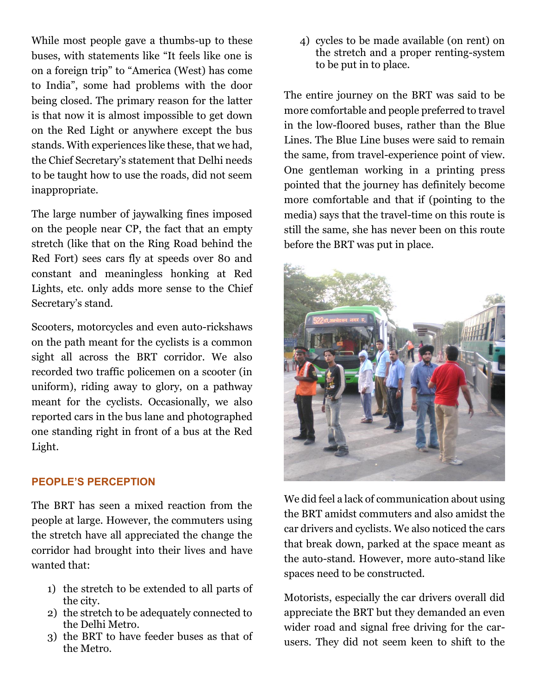While most people gave a thumbs-up to these buses, with statements like "It feels like one is on a foreign trip" to "America (West) has come to India", some had problems with the door being closed. The primary reason for the latter is that now it is almost impossible to get down on the Red Light or anywhere except the bus stands. With experiences like these, that we had, the Chief Secretary's statement that Delhi needs to be taught how to use the roads, did not seem inappropriate.

The large number of jaywalking fines imposed on the people near CP, the fact that an empty stretch (like that on the Ring Road behind the Red Fort) sees cars fly at speeds over 80 and constant and meaningless honking at Red Lights, etc. only adds more sense to the Chief Secretary's stand.

Scooters, motorcycles and even auto-rickshaws on the path meant for the cyclists is a common sight all across the BRT corridor. We also recorded two traffic policemen on a scooter (in uniform), riding away to glory, on a pathway meant for the cyclists. Occasionally, we also reported cars in the bus lane and photographed one standing right in front of a bus at the Red Light.

#### **PEOPLE'S PERCEPTION**

The BRT has seen a mixed reaction from the people at large. However, the commuters using the stretch have all appreciated the change the corridor had brought into their lives and have wanted that:

- 1) the stretch to be extended to all parts of the city.
- 2) the stretch to be adequately connected to the Delhi Metro.
- 3) the BRT to have feeder buses as that of the Metro.

4) cycles to be made available (on rent) on the stretch and a proper renting-system to be put in to place.

The entire journey on the BRT was said to be more comfortable and people preferred to travel in the low-floored buses, rather than the Blue Lines. The Blue Line buses were said to remain the same, from travel-experience point of view. One gentleman working in a printing press pointed that the journey has definitely become more comfortable and that if (pointing to the media) says that the travel-time on this route is still the same, she has never been on this route before the BRT was put in place.



We did feel a lack of communication about using the BRT amidst commuters and also amidst the car drivers and cyclists. We also noticed the cars that break down, parked at the space meant as the auto-stand. However, more auto-stand like spaces need to be constructed.

Motorists, especially the car drivers overall did appreciate the BRT but they demanded an even wider road and signal free driving for the carusers. They did not seem keen to shift to the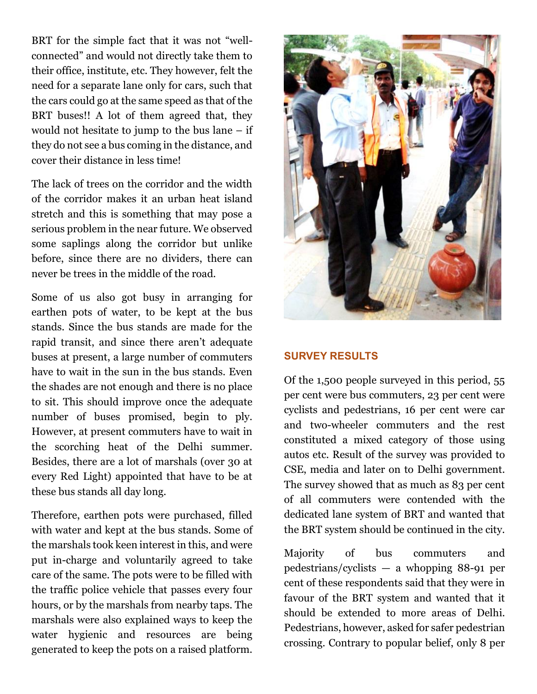BRT for the simple fact that it was not "wellconnected" and would not directly take them to their office, institute, etc. They however, felt the need for a separate lane only for cars, such that the cars could go at the same speed as that of the BRT buses!! A lot of them agreed that, they would not hesitate to jump to the bus lane – if they do not see a bus coming in the distance, and cover their distance in less time!

The lack of trees on the corridor and the width of the corridor makes it an urban heat island stretch and this is something that may pose a serious problem in the near future. We observed some saplings along the corridor but unlike before, since there are no dividers, there can never be trees in the middle of the road.

Some of us also got busy in arranging for earthen pots of water, to be kept at the bus stands. Since the bus stands are made for the rapid transit, and since there aren't adequate buses at present, a large number of commuters have to wait in the sun in the bus stands. Even the shades are not enough and there is no place to sit. This should improve once the adequate number of buses promised, begin to ply. However, at present commuters have to wait in the scorching heat of the Delhi summer. Besides, there are a lot of marshals (over 30 at every Red Light) appointed that have to be at these bus stands all day long.

Therefore, earthen pots were purchased, filled with water and kept at the bus stands. Some of the marshals took keen interest in this, and were put in-charge and voluntarily agreed to take care of the same. The pots were to be filled with the traffic police vehicle that passes every four hours, or by the marshals from nearby taps. The marshals were also explained ways to keep the water hygienic and resources are being generated to keep the pots on a raised platform.



#### **SURVEY RESULTS**

Of the 1,500 people surveyed in this period, 55 per cent were bus commuters, 23 per cent were cyclists and pedestrians, 16 per cent were car and two-wheeler commuters and the rest constituted a mixed category of those using autos etc. Result of the survey was provided to CSE, media and later on to Delhi government. The survey showed that as much as 83 per cent of all commuters were contended with the dedicated lane system of BRT and wanted that the BRT system should be continued in the city.

Majority of bus commuters and pedestrians/cyclists — a whopping 88-91 per cent of these respondents said that they were in favour of the BRT system and wanted that it should be extended to more areas of Delhi. Pedestrians, however, asked for safer pedestrian crossing. Contrary to popular belief, only 8 per